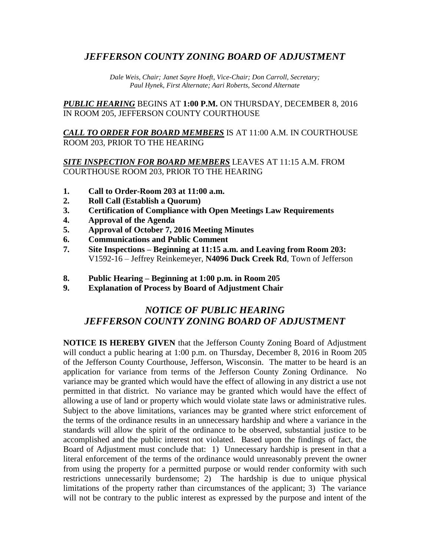## *JEFFERSON COUNTY ZONING BOARD OF ADJUSTMENT*

*Dale Weis, Chair; Janet Sayre Hoeft, Vice-Chair; Don Carroll, Secretary; Paul Hynek, First Alternate; Aari Roberts, Second Alternate*

*PUBLIC HEARING* BEGINS AT **1:00 P.M.** ON THURSDAY, DECEMBER 8, 2016 IN ROOM 205, JEFFERSON COUNTY COURTHOUSE

*CALL TO ORDER FOR BOARD MEMBERS* IS AT 11:00 A.M. IN COURTHOUSE ROOM 203, PRIOR TO THE HEARING

## *SITE INSPECTION FOR BOARD MEMBERS* LEAVES AT 11:15 A.M. FROM COURTHOUSE ROOM 203, PRIOR TO THE HEARING

- **1. Call to Order-Room 203 at 11:00 a.m.**
- **2. Roll Call (Establish a Quorum)**
- **3. Certification of Compliance with Open Meetings Law Requirements**
- **4. Approval of the Agenda**
- **5. Approval of October 7, 2016 Meeting Minutes**
- **6. Communications and Public Comment**
- **7. Site Inspections – Beginning at 11:15 a.m. and Leaving from Room 203:** V1592-16 – Jeffrey Reinkemeyer, **N4096 Duck Creek Rd**, Town of Jefferson
- **8. Public Hearing – Beginning at 1:00 p.m. in Room 205**
- **9. Explanation of Process by Board of Adjustment Chair**

## *NOTICE OF PUBLIC HEARING JEFFERSON COUNTY ZONING BOARD OF ADJUSTMENT*

**NOTICE IS HEREBY GIVEN** that the Jefferson County Zoning Board of Adjustment will conduct a public hearing at 1:00 p.m. on Thursday, December 8, 2016 in Room 205 of the Jefferson County Courthouse, Jefferson, Wisconsin. The matter to be heard is an application for variance from terms of the Jefferson County Zoning Ordinance. No variance may be granted which would have the effect of allowing in any district a use not permitted in that district. No variance may be granted which would have the effect of allowing a use of land or property which would violate state laws or administrative rules. Subject to the above limitations, variances may be granted where strict enforcement of the terms of the ordinance results in an unnecessary hardship and where a variance in the standards will allow the spirit of the ordinance to be observed, substantial justice to be accomplished and the public interest not violated. Based upon the findings of fact, the Board of Adjustment must conclude that: 1) Unnecessary hardship is present in that a literal enforcement of the terms of the ordinance would unreasonably prevent the owner from using the property for a permitted purpose or would render conformity with such restrictions unnecessarily burdensome; 2) The hardship is due to unique physical limitations of the property rather than circumstances of the applicant; 3) The variance will not be contrary to the public interest as expressed by the purpose and intent of the